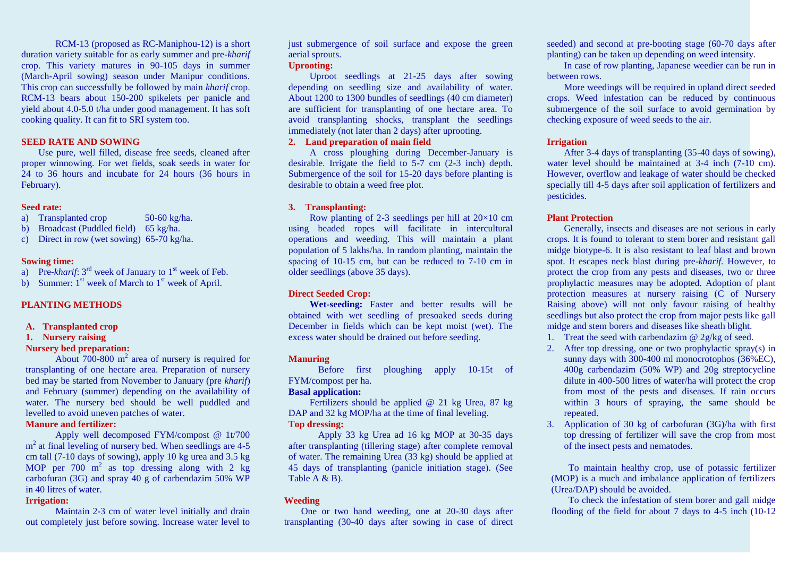RCM-13 (proposed as RC-Maniphou-12) is a short duration variety suitable for as early summer and pre-*kharif* crop. This variety matures in 90-105 days in summer (March-April sowing) season under Manipur conditions. This crop can successfully be followed by main *kharif* crop. RCM-13 bears about 150-200 spikelets per panicle and yield about 4.0-5.0 t/ha under good management. It has soft cooking quality. It can fit to SRI system too.

#### **SEED RATE AND SOWING**

Use pure, well filled, disease free seeds, cleaned after proper winnowing. For wet fields, soak seeds in water for 24 to 36 hours and incubate for 24 hours (36 hours in February).

#### **Seed rate:**

- a) Transplanted crop 50-60 kg/ha.
- b) Broadcast (Puddled field) 65 kg/ha.
- c) Direct in row (wet sowing) 65-70 kg/ha.

#### **Sowing time:**

a) Pre- $kharif$ :  $3<sup>rd</sup>$  week of January to  $1<sup>st</sup>$  week of Feb.

b) Summer:  $1<sup>st</sup>$  week of March to  $1<sup>st</sup>$  week of April.

#### **PLANTING METHODS**

#### **A. Transplanted crop**

#### **1. Nursery raising**

#### **Nursery bed preparation:**

About  $700-800$  m<sup>2</sup> area of nursery is required for transplanting of one hectare area. Preparation of nursery bed may be started from November to January (pre *kharif*) and February (summer) depending on the availability of water. The nursery bed should be well puddled and levelled to avoid uneven patches of water.

# **Manure and fertilizer:**

Apply well decomposed FYM/compost @ 1t/700 m<sup>2</sup> at final leveling of nursery bed. When seedlings are 4-5 cm tall (7-10 days of sowing), apply 10 kg urea and 3.5 kg MOP per  $700 \text{ m}^2$  as top dressing along with 2 kg carbofuran (3G) and spray 40 g of carbendazim 50% WP in 40 litres of water.

#### **Irrigation:**

Maintain 2-3 cm of water level initially and drain out completely just before sowing. Increase water level to

just submergence of soil surface and expose the green aerial sprouts.

#### **Uprooting:**

Uproot seedlings at 21-25 days after sowing depending on seedling size and availability of water. About 1200 to 1300 bundles of seedlings (40 cm diameter) are sufficient for transplanting of one hectare area. To avoid transplanting shocks, transplant the seedlings immediately (not later than 2 days) after uprooting.

# **2. Land preparation of main field**

A cross ploughing during December-January is desirable. Irrigate the field to 5-7 cm (2-3 inch) depth. Submergence of the soil for 15-20 days before planting is desirable to obtain a weed free plot.

#### **3. Transplanting:**

Row planting of 2-3 seedlings per hill at  $20\times10$  cm using beaded ropes will facilitate in intercultural operations and weeding. This will maintain a plant population of 5 lakhs/ha. In random planting, maintain the spacing of 10-15 cm, but can be reduced to 7-10 cm in older seedlings (above 35 days).

#### **Direct Seeded Crop:**

**Wet-seeding:** Faster and better results will be obtained with wet seedling of presoaked seeds during December in fields which can be kept moist (wet). The excess water should be drained out before seeding.

#### **Manuring**

Before first ploughing apply 10-15t of FYM/compost per ha.

#### **Basal application:**

Fertilizers should be applied @ 21 kg Urea, 87 kg DAP and 32 kg MOP/ha at the time of final leveling. **Top dressing:**

Apply 33 kg Urea ad 16 kg MOP at 30-35 days after transplanting (tillering stage) after complete removal of water. The remaining Urea (33 kg) should be applied at 45 days of transplanting (panicle initiation stage). (See Table A & B).

#### **Weeding**

One or two hand weeding, one at 20-30 days after transplanting (30-40 days after sowing in case of direct

seeded) and second at pre-booting stage (60-70 days after planting) can be taken up depending on weed intensity.

In case of row planting, Japanese weedier can be run in between rows.

More weedings will be required in upland direct seeded crops. Weed infestation can be reduced by continuous submergence of the soil surface to avoid germination by checking exposure of weed seeds to the air.

#### **Irrigation**

After 3-4 days of transplanting (35-40 days of sowing), water level should be maintained at 3-4 inch (7-10 cm). However, overflow and leakage of water should be checked specially till 4-5 days after soil application of fertilizers and pesticides.

#### **Plant Protection**

Generally, insects and diseases are not serious in early crops. It is found to tolerant to stem borer and resistant gall midge biotype-6. It is also resistant to leaf blast and brown spot. It escapes neck blast during pre-*kharif.* However, to protect the crop from any pests and diseases, two or three prophylactic measures may be adopted. Adoption of plant protection measures at nursery raising (C of Nursery Raising above) will not only favour raising of healthy seedlings but also protect the crop from major pests like gall midge and stem borers and diseases like sheath blight.

- 1. Treat the seed with carbendazim @ 2g/kg of seed.
- 2. After top dressing, one or two prophylactic spray(s) in sunny days with 300-400 ml monocrotophos (36%EC), 400g carbendazim (50% WP) and 20g streptocycline dilute in 400-500 litres of water/ha will protect the crop from most of the pests and diseases. If rain occurs within 3 hours of spraying, the same should be repeated.
- 3. Application of 30 kg of carbofuran (3G)/ha with first top dressing of fertilizer will save the crop from most of the insect pests and nematodes.

To maintain healthy crop, use of potassic fertilizer (MOP) is a much and imbalance application of fertilizers (Urea/DAP) should be avoided.

To check the infestation of stem borer and gall midge flooding of the field for about 7 days to 4-5 inch (10-12